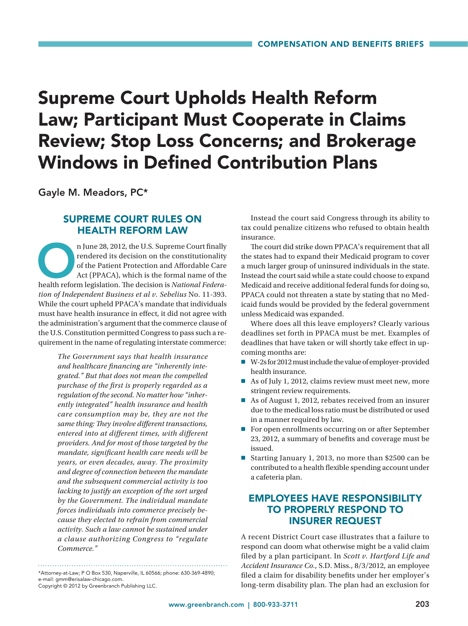# Supreme Court Upholds Health Reform Law; Participant Must Cooperate in Claims Review; Stop Loss Concerns; and Brokerage Windows in Defined Contribution Plans

Gayle M. Meadors, PC\*

## SUPREME COURT RULES ON HEALTH REFORM LAW

n June 28, 2012, the U.S. Supreme Court finally rendered its decision on the constitutionality of the Patient Protection and Affordable Care Act (PPACA), which is the formal name of the health reform legislation. The decis rendered its decision on the constitutionality of the Patient Protection and Affordable Care Act (PPACA), which is the formal name of the *tion of Independent Business et al v. Sebelius* No. 11-393. While the court upheld PPACA's mandate that individuals must have health insurance in effect, it did not agree with the administration's argument that the commerce clause of the U.S. Constitution permitted Congress to pass such a requirement in the name of regulating interstate commerce:

> *The Government says that health insurance and healthcare financing are "inherently integrated." But that does not mean the compelled purchase of the first is properly regarded as a regulation of the second. No matter how "inherently integrated" health insurance and health care consumption may be, they are not the same thing: They involve different transactions, entered into at different times, with different providers. And for most of those targeted by the mandate, significant health care needs will be years, or even decades, away. The proximity and degree of connection between the mandate and the subsequent commercial activity is too lacking to justify an exception of the sort urged by the Government. The individual mandate forces individuals into commerce precisely because they elected to refrain from commercial activity. Such a law cannot be sustained under a clause authorizing Congress to "regulate Commerce."*

Copyright © 2012 by Greenbranch Publishing LLC.

Instead the court said Congress through its ability to tax could penalize citizens who refused to obtain health insurance.

The court did strike down PPACA's requirement that all the states had to expand their Medicaid program to cover a much larger group of uninsured individuals in the state. Instead the court said while a state could choose to expand Medicaid and receive additional federal funds for doing so, PPACA could not threaten a state by stating that no Medicaid funds would be provided by the federal government unless Medicaid was expanded.

Where does all this leave employers? Clearly various deadlines set forth in PPACA must be met. Examples of deadlines that have taken or will shortly take effect in upcoming months are:

- 7 W-2s for 2012 must include the value of employer-provided health insurance.
- As of July 1, 2012, claims review must meet new, more stringent review requirements.
- As of August 1, 2012, rebates received from an insurer due to the medical loss ratio must be distributed or used in a manner required by law.
- For open enrollments occurring on or after September 23, 2012, a summary of benefits and coverage must be issued.
- Starting January 1, 2013, no more than \$2500 can be contributed to a health flexible spending account under a cafeteria plan.

## EMPLOYEES HAVE RESPONSIBILITY TO PROPERLY RESPOND TO INSURER REQUEST

A recent District Court case illustrates that a failure to respond can doom what otherwise might be a valid claim filed by a plan participant. In *Scott v. Hartford Life and Accident Insurance Co.*, S.D. Miss., 8/3/2012, an employee filed a claim for disability benefits under her employer's long-term disability plan. The plan had an exclusion for

<sup>\*</sup>Attorney-at-Law; P O Box 530, Naperville, IL 60566; phone: 630-369-4890; e-mail: gmm@erisalaw-chicago.com.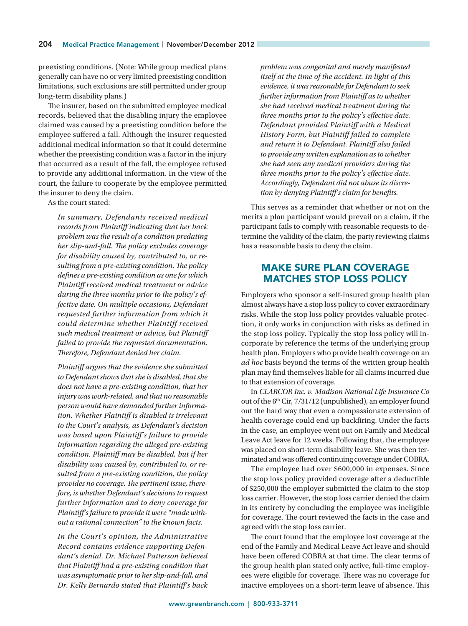preexisting conditions. (Note: While group medical plans generally can have no or very limited preexisting condition limitations, such exclusions are still permitted under group long-term disability plans.)

The insurer, based on the submitted employee medical records, believed that the disabling injury the employee claimed was caused by a preexisting condition before the employee suffered a fall. Although the insurer requested additional medical information so that it could determine whether the preexisting condition was a factor in the injury that occurred as a result of the fall, the employee refused to provide any additional information. In the view of the court, the failure to cooperate by the employee permitted the insurer to deny the claim.

As the court stated:

*In summary, Defendants received medical records from Plaintiff indicating that her back problem was the result of a condition predating her slip-and-fall. The policy excludes coverage for disability caused by, contributed to, or resulting from a pre-existing condition. The policy defines a pre-existing condition as one for which Plaintiff received medical treatment or advice during the three months prior to the policy's effective date. On multiple occasions, Defendant requested further information from which it could determine whether Plaintiff received such medical treatment or advice, but Plaintiff failed to provide the requested documentation. Therefore, Defendant denied her claim.*

*Plaintiff argues that the evidence she submitted to Defendant shows that she is disabled, that she does not have a pre-existing condition, that her injury was work-related, and that no reasonable person would have demanded further information. Whether Plaintiff is disabled is irrelevant to the Court's analysis, as Defendant's decision was based upon Plaintiff's failure to provide information regarding the alleged pre-existing condition. Plaintiff may be disabled, but if her disability was caused by, contributed to, or resulted from a pre-existing condition, the policy provides no coverage. The pertinent issue, therefore, is whether Defendant's decisions to request further information and to deny coverage for Plaintiff's failure to provide it were "made without a rational connection" to the known facts.*

*In the Court's opinion, the Administrative Record contains evidence supporting Defendant's denial. Dr. Michael Patterson believed that Plaintiff had a pre-existing condition that was asymptomatic prior to her slip-and-fall, and Dr. Kelly Bernardo stated that Plaintiff's back* 

*problem was congenital and merely manifested itself at the time of the accident. In light of this evidence, it was reasonable for Defendant to seek further information from Plaintiff as to whether she had received medical treatment during the three months prior to the policy's effective date. Defendant provided Plaintiff with a Medical History Form, but Plaintiff failed to complete and return it to Defendant. Plaintiff also failed to provide any written explanation as to whether she had seen any medical providers during the three months prior to the policy's effective date. Accordingly, Defendant did not abuse its discretion by denying Plaintiff's claim for benefits.*

This serves as a reminder that whether or not on the merits a plan participant would prevail on a claim, if the participant fails to comply with reasonable requests to determine the validity of the claim, the party reviewing claims has a reasonable basis to deny the claim.

#### MAKE SURE PLAN COVERAGE MATCHES STOP LOSS POLICY

Employers who sponsor a self-insured group health plan almost always have a stop loss policy to cover extraordinary risks. While the stop loss policy provides valuable protection, it only works in conjunction with risks as defined in the stop loss policy. Typically the stop loss policy will incorporate by reference the terms of the underlying group health plan. Employers who provide health coverage on an *ad hoc* basis beyond the terms of the written group health plan may find themselves liable for all claims incurred due to that extension of coverage.

In *CLARCOR Inc. v. Madison National Life Insurance Co* out of the 6<sup>th</sup> Cir, 7/31/12 (unpublished), an employer found out the hard way that even a compassionate extension of health coverage could end up backfiring. Under the facts in the case, an employee went out on Family and Medical Leave Act leave for 12 weeks. Following that, the employee was placed on short-term disability leave. She was then terminated and was offered continuing coverage under COBRA.

The employee had over \$600,000 in expenses. Since the stop loss policy provided coverage after a deductible of \$250,000 the employer submitted the claim to the stop loss carrier. However, the stop loss carrier denied the claim in its entirety by concluding the employee was ineligible for coverage. The court reviewed the facts in the case and agreed with the stop loss carrier.

The court found that the employee lost coverage at the end of the Family and Medical Leave Act leave and should have been offered COBRA at that time. The clear terms of the group health plan stated only active, full-time employees were eligible for coverage. There was no coverage for inactive employees on a short-term leave of absence. This